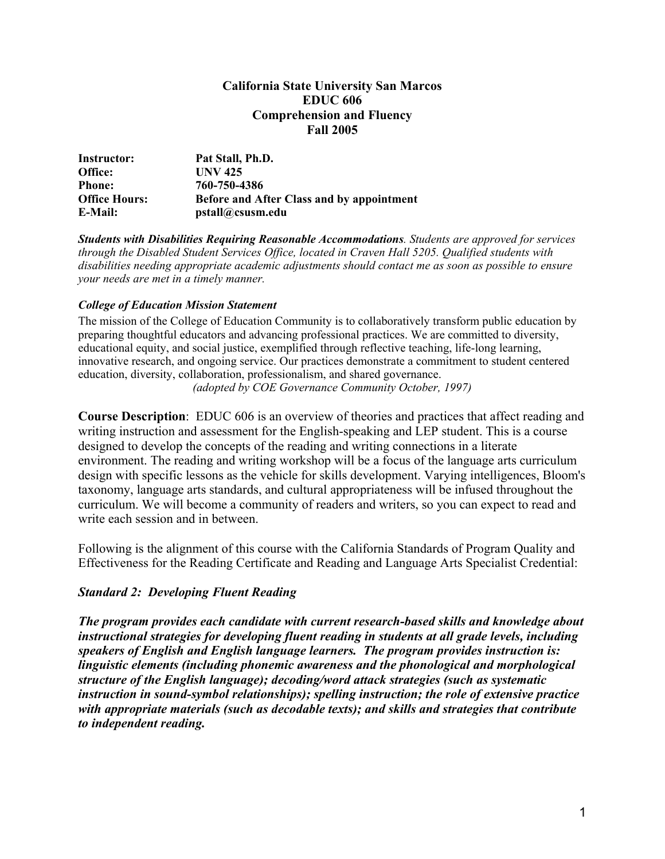#### **California State University San Marcos EDUC 606 Comprehension and Fluency Fall 2005**

| Instructor:          | Pat Stall, Ph.D.                          |
|----------------------|-------------------------------------------|
| Office:              | <b>UNV 425</b>                            |
| <b>Phone:</b>        | 760-750-4386                              |
| <b>Office Hours:</b> | Before and After Class and by appointment |
| <b>E-Mail:</b>       | pstall@csusm.edu                          |

*Students with Disabilities Requiring Reasonable Accommodations. Students are approved for services through the Disabled Student Services Office, located in Craven Hall 5205. Qualified students with disabilities needing appropriate academic adjustments should contact me as soon as possible to ensure your needs are met in a timely manner.* 

#### *College of Education Mission Statement*

The mission of the College of Education Community is to collaboratively transform public education by preparing thoughtful educators and advancing professional practices. We are committed to diversity, educational equity, and social justice, exemplified through reflective teaching, life-long learning, innovative research, and ongoing service. Our practices demonstrate a commitment to student centered education, diversity, collaboration, professionalism, and shared governance. *(adopted by COE Governance Community October, 1997)*

**Course Description**: EDUC 606 is an overview of theories and practices that affect reading and writing instruction and assessment for the English-speaking and LEP student. This is a course designed to develop the concepts of the reading and writing connections in a literate environment. The reading and writing workshop will be a focus of the language arts curriculum design with specific lessons as the vehicle for skills development. Varying intelligences, Bloom's taxonomy, language arts standards, and cultural appropriateness will be infused throughout the curriculum. We will become a community of readers and writers, so you can expect to read and write each session and in between.

Following is the alignment of this course with the California Standards of Program Quality and Effectiveness for the Reading Certificate and Reading and Language Arts Specialist Credential:

#### *Standard 2: Developing Fluent Reading*

*The program provides each candidate with current research-based skills and knowledge about instructional strategies for developing fluent reading in students at all grade levels, including speakers of English and English language learners. The program provides instruction is: linguistic elements (including phonemic awareness and the phonological and morphological structure of the English language); decoding/word attack strategies (such as systematic instruction in sound-symbol relationships); spelling instruction; the role of extensive practice with appropriate materials (such as decodable texts); and skills and strategies that contribute to independent reading.*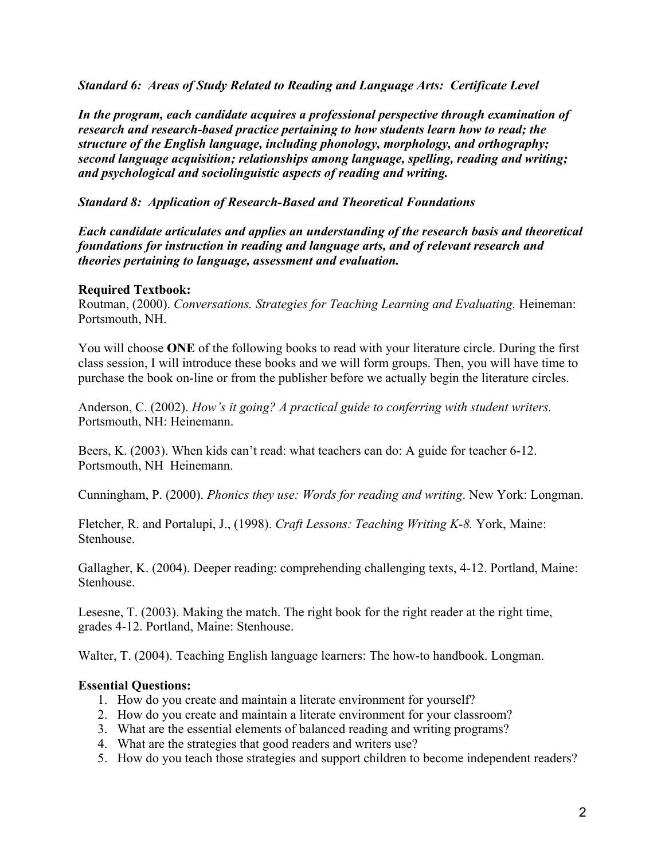*Standard 6: Areas of Study Related to Reading and Language Arts: Certificate Level* 

*In the program, each candidate acquires a professional perspective through examination of research and research-based practice pertaining to how students learn how to read; the structure of the English language, including phonology, morphology, and orthography; second language acquisition; relationships among language, spelling, reading and writing; and psychological and sociolinguistic aspects of reading and writing.*

*Standard 8: Application of Research-Based and Theoretical Foundations* 

*Each candidate articulates and applies an understanding of the research basis and theoretical foundations for instruction in reading and language arts, and of relevant research and theories pertaining to language, assessment and evaluation.* 

#### **Required Textbook:**

Routman, (2000). *Conversations. Strategies for Teaching Learning and Evaluating.* Heineman: Portsmouth, NH.

You will choose **ONE** of the following books to read with your literature circle. During the first class session, I will introduce these books and we will form groups. Then, you will have time to purchase the book on-line or from the publisher before we actually begin the literature circles.

Anderson, C. (2002). *How's it going? A practical guide to conferring with student writers.* Portsmouth, NH: Heinemann.

Beers, K. (2003). When kids can't read: what teachers can do: A guide for teacher 6-12. Portsmouth, NH Heinemann.

Cunningham, P. (2000). *Phonics they use: Words for reading and writing*. New York: Longman.

Fletcher, R. and Portalupi, J., (1998). *Craft Lessons: Teaching Writing K-8.* York, Maine: Stenhouse.

Gallagher, K. (2004). Deeper reading: comprehending challenging texts, 4-12. Portland, Maine: Stenhouse.

Lesesne, T. (2003). Making the match. The right book for the right reader at the right time, grades 4-12. Portland, Maine: Stenhouse.

Walter, T. (2004). Teaching English language learners: The how-to handbook. Longman.

## **Essential Questions:**

- 1. How do you create and maintain a literate environment for yourself?
- 2. How do you create and maintain a literate environment for your classroom?
- 3. What are the essential elements of balanced reading and writing programs?
- 4. What are the strategies that good readers and writers use?
- 5. How do you teach those strategies and support children to become independent readers?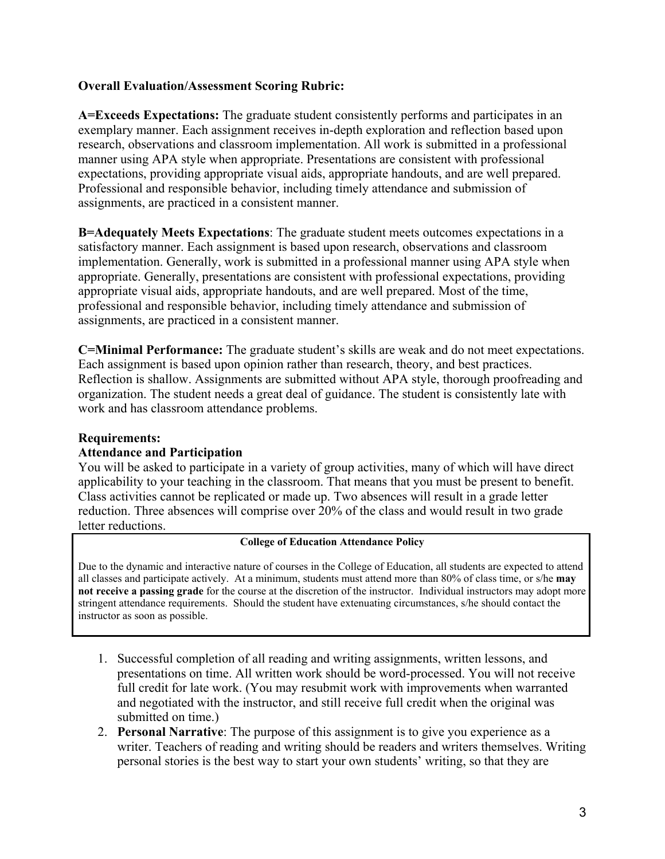### **Overall Evaluation/Assessment Scoring Rubric:**

**A=Exceeds Expectations:** The graduate student consistently performs and participates in an exemplary manner. Each assignment receives in-depth exploration and reflection based upon research, observations and classroom implementation. All work is submitted in a professional manner using APA style when appropriate. Presentations are consistent with professional expectations, providing appropriate visual aids, appropriate handouts, and are well prepared. Professional and responsible behavior, including timely attendance and submission of assignments, are practiced in a consistent manner.

**B=Adequately Meets Expectations**: The graduate student meets outcomes expectations in a satisfactory manner. Each assignment is based upon research, observations and classroom implementation. Generally, work is submitted in a professional manner using APA style when appropriate. Generally, presentations are consistent with professional expectations, providing appropriate visual aids, appropriate handouts, and are well prepared. Most of the time, professional and responsible behavior, including timely attendance and submission of assignments, are practiced in a consistent manner.

**C=Minimal Performance:** The graduate student's skills are weak and do not meet expectations. Each assignment is based upon opinion rather than research, theory, and best practices. Reflection is shallow. Assignments are submitted without APA style, thorough proofreading and organization. The student needs a great deal of guidance. The student is consistently late with work and has classroom attendance problems.

## **Requirements:**

#### **Attendance and Participation**

You will be asked to participate in a variety of group activities, many of which will have direct applicability to your teaching in the classroom. That means that you must be present to benefit. Class activities cannot be replicated or made up. Two absences will result in a grade letter reduction. Three absences will comprise over 20% of the class and would result in two grade letter reductions.

#### **College of Education Attendance Policy**

Due to the dynamic and interactive nature of courses in the College of Education, all students are expected to attend all classes and participate actively. At a minimum, students must attend more than 80% of class time, or s/he **may not receive a passing grade** for the course at the discretion of the instructor. Individual instructors may adopt more stringent attendance requirements. Should the student have extenuating circumstances, s/he should contact the instructor as soon as possible.

- 1. Successful completion of all reading and writing assignments, written lessons, and presentations on time. All written work should be word-processed. You will not receive full credit for late work. (You may resubmit work with improvements when warranted and negotiated with the instructor, and still receive full credit when the original was submitted on time.)
- 2. **Personal Narrative**: The purpose of this assignment is to give you experience as a writer. Teachers of reading and writing should be readers and writers themselves. Writing personal stories is the best way to start your own students' writing, so that they are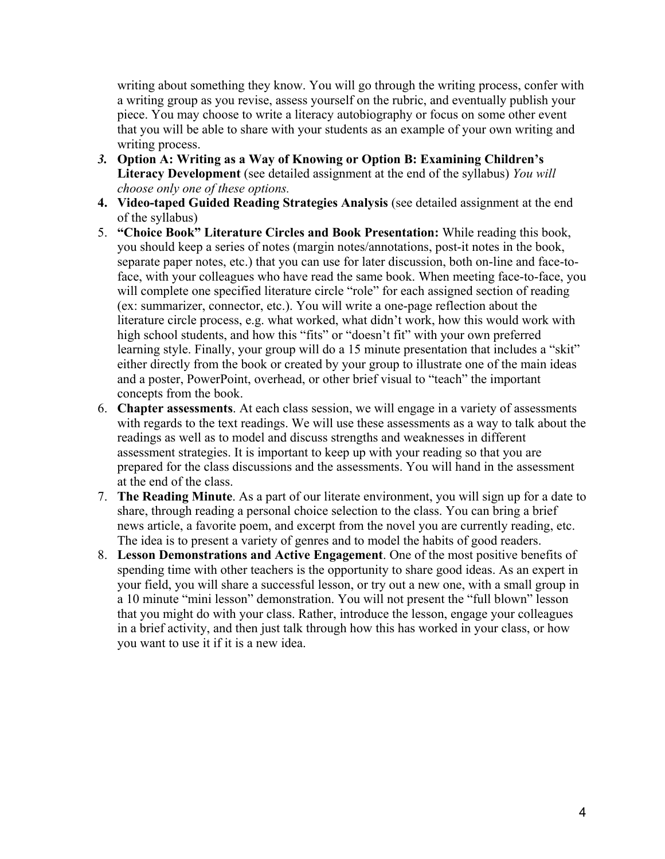writing about something they know. You will go through the writing process, confer with a writing group as you revise, assess yourself on the rubric, and eventually publish your piece. You may choose to write a literacy autobiography or focus on some other event that you will be able to share with your students as an example of your own writing and writing process.

- *3.* **Option A: Writing as a Way of Knowing or Option B: Examining Children's Literacy Development** (see detailed assignment at the end of the syllabus) *You will choose only one of these options.*
- **4. Video-taped Guided Reading Strategies Analysis** (see detailed assignment at the end of the syllabus)
- 5. **"Choice Book" Literature Circles and Book Presentation:** While reading this book, you should keep a series of notes (margin notes/annotations, post-it notes in the book, separate paper notes, etc.) that you can use for later discussion, both on-line and face-toface, with your colleagues who have read the same book. When meeting face-to-face, you will complete one specified literature circle "role" for each assigned section of reading (ex: summarizer, connector, etc.). You will write a one-page reflection about the literature circle process, e.g. what worked, what didn't work, how this would work with high school students, and how this "fits" or "doesn't fit" with your own preferred learning style. Finally, your group will do a 15 minute presentation that includes a "skit" either directly from the book or created by your group to illustrate one of the main ideas and a poster, PowerPoint, overhead, or other brief visual to "teach" the important concepts from the book.
- 6. **Chapter assessments**. At each class session, we will engage in a variety of assessments with regards to the text readings. We will use these assessments as a way to talk about the readings as well as to model and discuss strengths and weaknesses in different assessment strategies. It is important to keep up with your reading so that you are prepared for the class discussions and the assessments. You will hand in the assessment at the end of the class.
- 7. **The Reading Minute**. As a part of our literate environment, you will sign up for a date to share, through reading a personal choice selection to the class. You can bring a brief news article, a favorite poem, and excerpt from the novel you are currently reading, etc. The idea is to present a variety of genres and to model the habits of good readers.
- 8. **Lesson Demonstrations and Active Engagement**. One of the most positive benefits of spending time with other teachers is the opportunity to share good ideas. As an expert in your field, you will share a successful lesson, or try out a new one, with a small group in a 10 minute "mini lesson" demonstration. You will not present the "full blown" lesson that you might do with your class. Rather, introduce the lesson, engage your colleagues in a brief activity, and then just talk through how this has worked in your class, or how you want to use it if it is a new idea.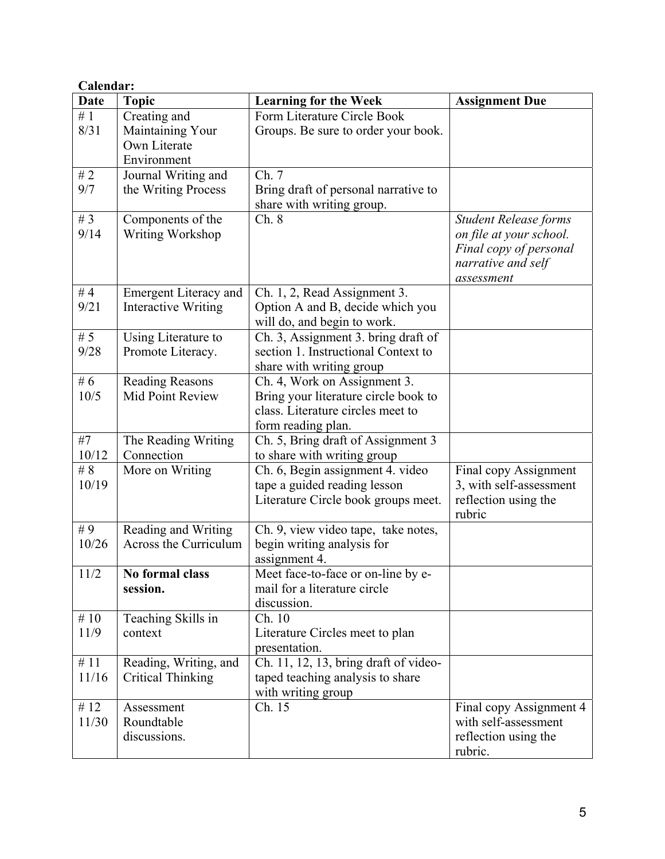| Calendar:   |                              |                                             |                              |  |
|-------------|------------------------------|---------------------------------------------|------------------------------|--|
| <b>Date</b> | <b>Topic</b>                 | <b>Learning for the Week</b>                | <b>Assignment Due</b>        |  |
| #1          | Creating and                 | Form Literature Circle Book                 |                              |  |
| 8/31        | Maintaining Your             | Groups. Be sure to order your book.         |                              |  |
|             | Own Literate                 |                                             |                              |  |
|             | Environment                  |                                             |                              |  |
| #2          | Journal Writing and          | Ch. 7                                       |                              |  |
| 9/7         | the Writing Process          | Bring draft of personal narrative to        |                              |  |
|             |                              | share with writing group.                   |                              |  |
| # $3$       | Components of the            | Ch.8                                        | <b>Student Release forms</b> |  |
| 9/14        | Writing Workshop             |                                             | on file at your school.      |  |
|             |                              |                                             | Final copy of personal       |  |
|             |                              |                                             | narrative and self           |  |
| #4          | <b>Emergent Literacy and</b> | Ch. 1, 2, Read Assignment 3.                | assessment                   |  |
| 9/21        | <b>Interactive Writing</b>   | Option A and B, decide which you            |                              |  |
|             |                              | will do, and begin to work.                 |                              |  |
| # 5         | Using Literature to          | Ch. 3, Assignment 3. bring draft of         |                              |  |
| 9/28        | Promote Literacy.            | section 1. Instructional Context to         |                              |  |
|             |                              | share with writing group                    |                              |  |
| # $6$       | <b>Reading Reasons</b>       | Ch. 4, Work on Assignment 3.                |                              |  |
| 10/5        | <b>Mid Point Review</b>      | Bring your literature circle book to        |                              |  |
|             |                              | class. Literature circles meet to           |                              |  |
|             |                              | form reading plan.                          |                              |  |
| #7          | The Reading Writing          | Ch. 5, Bring draft of Assignment 3          |                              |  |
| 10/12       | Connection                   | to share with writing group                 |                              |  |
| # $8$       | More on Writing              | Ch. 6, Begin assignment 4. video            | Final copy Assignment        |  |
| 10/19       |                              | tape a guided reading lesson                | 3, with self-assessment      |  |
|             |                              | Literature Circle book groups meet.         | reflection using the         |  |
|             |                              |                                             | rubric                       |  |
| #9          | Reading and Writing          | Ch. 9, view video tape, take notes,         |                              |  |
| 10/26       | Across the Curriculum        | begin writing analysis for<br>assignment 4. |                              |  |
| 11/2        | <b>No formal class</b>       | Meet face-to-face or on-line by e-          |                              |  |
|             | session.                     | mail for a literature circle                |                              |  |
|             |                              | discussion.                                 |                              |  |
| # $10$      | Teaching Skills in           | Ch. 10                                      |                              |  |
| 11/9        | context                      | Literature Circles meet to plan             |                              |  |
|             |                              | presentation.                               |                              |  |
| #11         | Reading, Writing, and        | Ch. 11, 12, 13, bring draft of video-       |                              |  |
| 11/16       | <b>Critical Thinking</b>     | taped teaching analysis to share            |                              |  |
|             |                              | with writing group                          |                              |  |
| #12         | Assessment                   | Ch. 15                                      | Final copy Assignment 4      |  |
| 11/30       | Roundtable                   |                                             | with self-assessment         |  |
|             | discussions.                 |                                             | reflection using the         |  |
|             |                              |                                             | rubric.                      |  |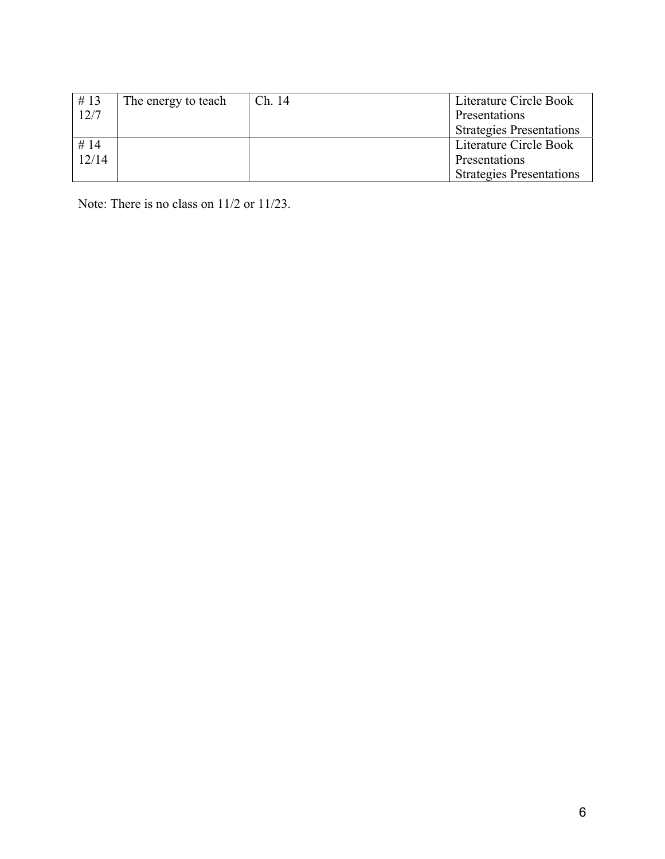| #13   | The energy to teach | Ch. 14 | Literature Circle Book          |
|-------|---------------------|--------|---------------------------------|
| 12/7  |                     |        | Presentations                   |
|       |                     |        | <b>Strategies Presentations</b> |
| #14   |                     |        | Literature Circle Book          |
| 12/14 |                     |        | Presentations                   |
|       |                     |        | <b>Strategies Presentations</b> |

Note: There is no class on 11/2 or 11/23.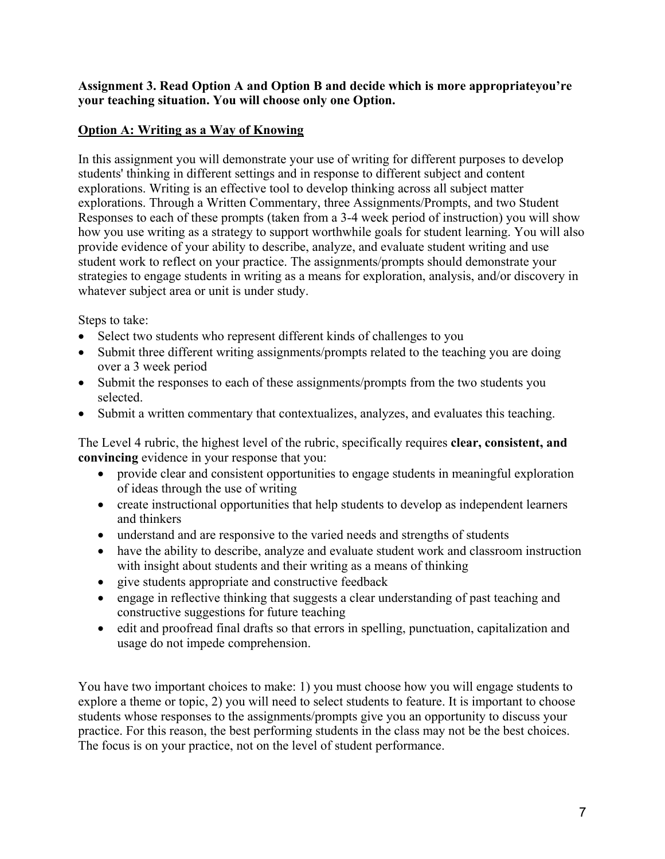### **Assignment 3. Read Option A and Option B and decide which is more appropriateyou're your teaching situation. You will choose only one Option.**

## **Option A: Writing as a Way of Knowing**

In this assignment you will demonstrate your use of writing for different purposes to develop students' thinking in different settings and in response to different subject and content explorations. Writing is an effective tool to develop thinking across all subject matter explorations. Through a Written Commentary, three Assignments/Prompts, and two Student Responses to each of these prompts (taken from a 3-4 week period of instruction) you will show how you use writing as a strategy to support worthwhile goals for student learning. You will also provide evidence of your ability to describe, analyze, and evaluate student writing and use student work to reflect on your practice. The assignments/prompts should demonstrate your strategies to engage students in writing as a means for exploration, analysis, and/or discovery in whatever subject area or unit is under study.

Steps to take:

- Select two students who represent different kinds of challenges to you
- Submit three different writing assignments/prompts related to the teaching you are doing over a 3 week period
- Submit the responses to each of these assignments/prompts from the two students you selected.
- Submit a written commentary that contextualizes, analyzes, and evaluates this teaching.

The Level 4 rubric, the highest level of the rubric, specifically requires **clear, consistent, and convincing** evidence in your response that you:

- provide clear and consistent opportunities to engage students in meaningful exploration of ideas through the use of writing
- create instructional opportunities that help students to develop as independent learners and thinkers
- understand and are responsive to the varied needs and strengths of students
- have the ability to describe, analyze and evaluate student work and classroom instruction with insight about students and their writing as a means of thinking
- give students appropriate and constructive feedback
- engage in reflective thinking that suggests a clear understanding of past teaching and constructive suggestions for future teaching
- edit and proofread final drafts so that errors in spelling, punctuation, capitalization and usage do not impede comprehension.

You have two important choices to make: 1) you must choose how you will engage students to explore a theme or topic, 2) you will need to select students to feature. It is important to choose students whose responses to the assignments/prompts give you an opportunity to discuss your practice. For this reason, the best performing students in the class may not be the best choices. The focus is on your practice, not on the level of student performance.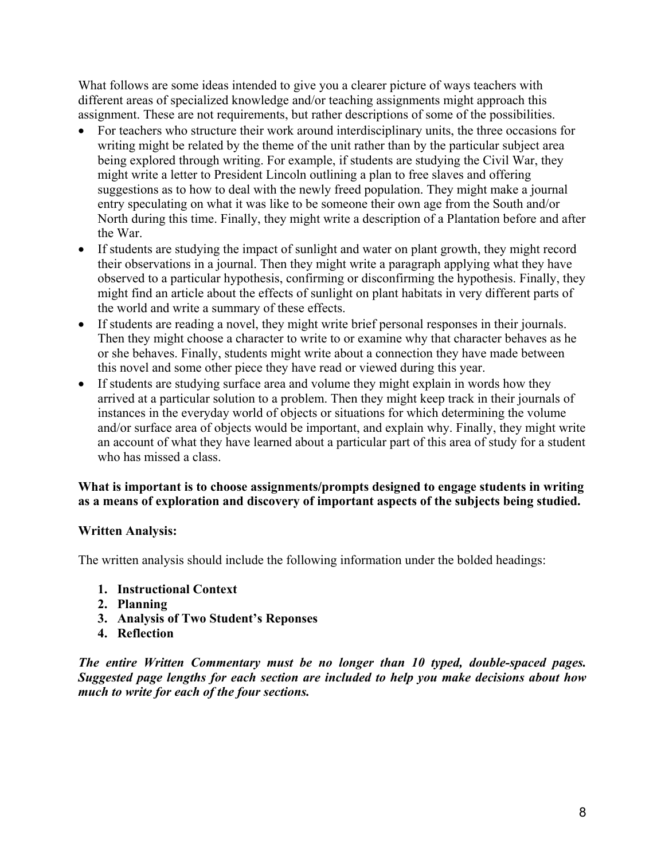What follows are some ideas intended to give you a clearer picture of ways teachers with different areas of specialized knowledge and/or teaching assignments might approach this assignment. These are not requirements, but rather descriptions of some of the possibilities.

- For teachers who structure their work around interdisciplinary units, the three occasions for writing might be related by the theme of the unit rather than by the particular subject area being explored through writing. For example, if students are studying the Civil War, they might write a letter to President Lincoln outlining a plan to free slaves and offering suggestions as to how to deal with the newly freed population. They might make a journal entry speculating on what it was like to be someone their own age from the South and/or North during this time. Finally, they might write a description of a Plantation before and after the War.
- If students are studying the impact of sunlight and water on plant growth, they might record their observations in a journal. Then they might write a paragraph applying what they have observed to a particular hypothesis, confirming or disconfirming the hypothesis. Finally, they might find an article about the effects of sunlight on plant habitats in very different parts of the world and write a summary of these effects.
- If students are reading a novel, they might write brief personal responses in their journals. Then they might choose a character to write to or examine why that character behaves as he or she behaves. Finally, students might write about a connection they have made between this novel and some other piece they have read or viewed during this year.
- If students are studying surface area and volume they might explain in words how they arrived at a particular solution to a problem. Then they might keep track in their journals of instances in the everyday world of objects or situations for which determining the volume and/or surface area of objects would be important, and explain why. Finally, they might write an account of what they have learned about a particular part of this area of study for a student who has missed a class.

## **What is important is to choose assignments/prompts designed to engage students in writing as a means of exploration and discovery of important aspects of the subjects being studied.**

## **Written Analysis:**

The written analysis should include the following information under the bolded headings:

- **1. Instructional Context**
- **2. Planning**
- **3. Analysis of Two Student's Reponses**
- **4. Reflection**

*The entire Written Commentary must be no longer than 10 typed, double-spaced pages. Suggested page lengths for each section are included to help you make decisions about how much to write for each of the four sections.*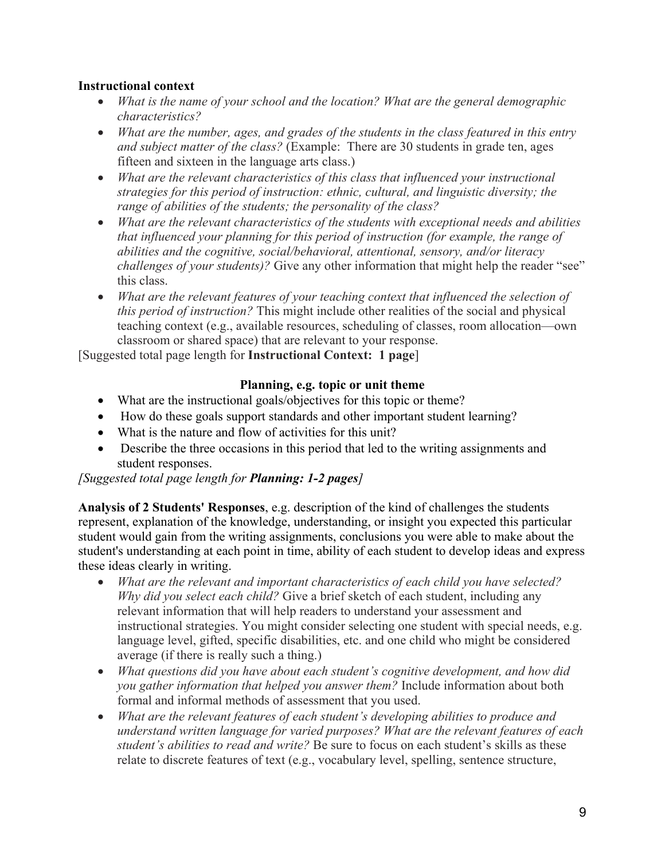## **Instructional context**

- *What is the name of your school and the location? What are the general demographic characteristics?*
- *What are the number, ages, and grades of the students in the class featured in this entry and subject matter of the class?* (Example: There are 30 students in grade ten, ages fifteen and sixteen in the language arts class.)
- *What are the relevant characteristics of this class that influenced your instructional strategies for this period of instruction: ethnic, cultural, and linguistic diversity; the range of abilities of the students; the personality of the class?*
- *What are the relevant characteristics of the students with exceptional needs and abilities that influenced your planning for this period of instruction (for example, the range of abilities and the cognitive, social/behavioral, attentional, sensory, and/or literacy challenges of your students)?* Give any other information that might help the reader "see" this class.
- *What are the relevant features of your teaching context that influenced the selection of this period of instruction?* This might include other realities of the social and physical teaching context (e.g., available resources, scheduling of classes, room allocation—own classroom or shared space) that are relevant to your response.

[Suggested total page length for **Instructional Context: 1 page**]

## **Planning, e.g. topic or unit theme**

- What are the instructional goals/objectives for this topic or theme?
- How do these goals support standards and other important student learning?
- What is the nature and flow of activities for this unit?
- Describe the three occasions in this period that led to the writing assignments and student responses.

## *[Suggested total page length for Planning: 1-2 pages]*

**Analysis of 2 Students' Responses**, e.g. description of the kind of challenges the students represent, explanation of the knowledge, understanding, or insight you expected this particular student would gain from the writing assignments, conclusions you were able to make about the student's understanding at each point in time, ability of each student to develop ideas and express these ideas clearly in writing.

- *What are the relevant and important characteristics of each child you have selected? Why did you select each child?* Give a brief sketch of each student, including any relevant information that will help readers to understand your assessment and instructional strategies. You might consider selecting one student with special needs, e.g. language level, gifted, specific disabilities, etc. and one child who might be considered average (if there is really such a thing.)
- *What questions did you have about each student's cognitive development, and how did you gather information that helped you answer them?* Include information about both formal and informal methods of assessment that you used.
- *What are the relevant features of each student's developing abilities to produce and understand written language for varied purposes? What are the relevant features of each student's abilities to read and write?* Be sure to focus on each student's skills as these relate to discrete features of text (e.g., vocabulary level, spelling, sentence structure,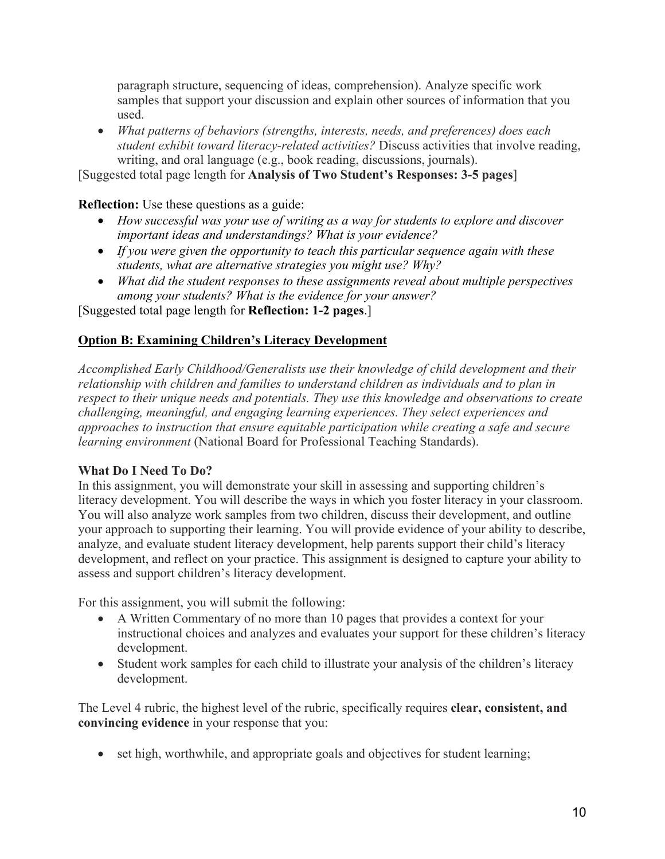paragraph structure, sequencing of ideas, comprehension). Analyze specific work samples that support your discussion and explain other sources of information that you used.

• *What patterns of behaviors (strengths, interests, needs, and preferences) does each student exhibit toward literacy-related activities?* Discuss activities that involve reading, writing, and oral language (e.g., book reading, discussions, journals).

[Suggested total page length for **Analysis of Two Student's Responses: 3-5 pages**]

**Reflection:** Use these questions as a guide:

- *How successful was your use of writing as a way for students to explore and discover important ideas and understandings? What is your evidence?*
- *If you were given the opportunity to teach this particular sequence again with these students, what are alternative strategies you might use? Why?*
- *What did the student responses to these assignments reveal about multiple perspectives among your students? What is the evidence for your answer?*

[Suggested total page length for **Reflection: 1-2 pages**.]

## **Option B: Examining Children's Literacy Development**

*Accomplished Early Childhood/Generalists use their knowledge of child development and their relationship with children and families to understand children as individuals and to plan in respect to their unique needs and potentials. They use this knowledge and observations to create challenging, meaningful, and engaging learning experiences. They select experiences and approaches to instruction that ensure equitable participation while creating a safe and secure learning environment* (National Board for Professional Teaching Standards).

## **What Do I Need To Do?**

In this assignment, you will demonstrate your skill in assessing and supporting children's literacy development. You will describe the ways in which you foster literacy in your classroom. You will also analyze work samples from two children, discuss their development, and outline your approach to supporting their learning. You will provide evidence of your ability to describe, analyze, and evaluate student literacy development, help parents support their child's literacy development, and reflect on your practice. This assignment is designed to capture your ability to assess and support children's literacy development.

For this assignment, you will submit the following:

- A Written Commentary of no more than 10 pages that provides a context for your instructional choices and analyzes and evaluates your support for these children's literacy development.
- Student work samples for each child to illustrate your analysis of the children's literacy development.

The Level 4 rubric, the highest level of the rubric, specifically requires **clear, consistent, and convincing evidence** in your response that you:

• set high, worthwhile, and appropriate goals and objectives for student learning;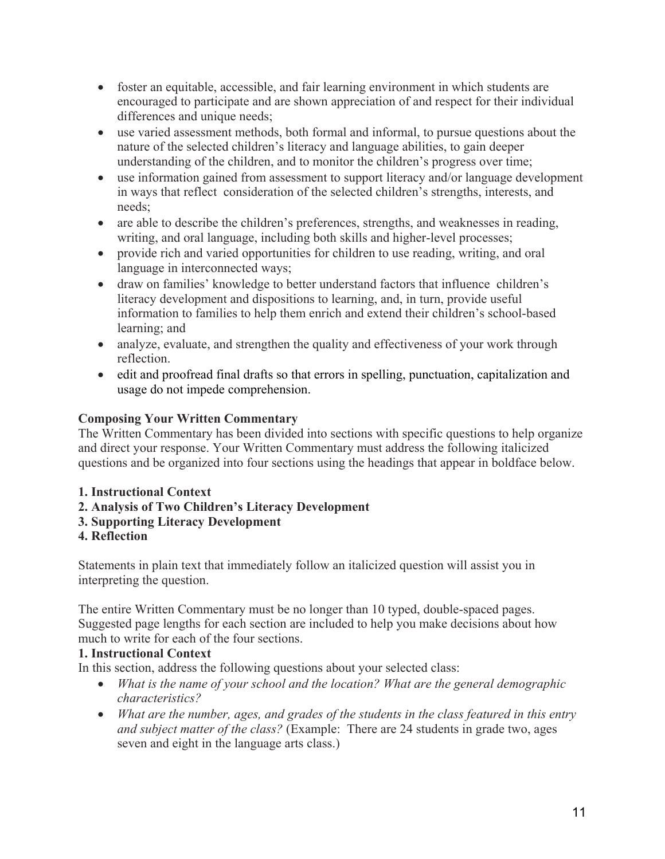- foster an equitable, accessible, and fair learning environment in which students are encouraged to participate and are shown appreciation of and respect for their individual differences and unique needs;
- use varied assessment methods, both formal and informal, to pursue questions about the nature of the selected children's literacy and language abilities, to gain deeper understanding of the children, and to monitor the children's progress over time;
- use information gained from assessment to support literacy and/or language development in ways that reflect consideration of the selected children's strengths, interests, and needs;
- are able to describe the children's preferences, strengths, and weaknesses in reading, writing, and oral language, including both skills and higher-level processes;
- provide rich and varied opportunities for children to use reading, writing, and oral language in interconnected ways;
- draw on families' knowledge to better understand factors that influence children's literacy development and dispositions to learning, and, in turn, provide useful information to families to help them enrich and extend their children's school-based learning; and
- analyze, evaluate, and strengthen the quality and effectiveness of your work through reflection.
- edit and proofread final drafts so that errors in spelling, punctuation, capitalization and usage do not impede comprehension.

## **Composing Your Written Commentary**

The Written Commentary has been divided into sections with specific questions to help organize and direct your response. Your Written Commentary must address the following italicized questions and be organized into four sections using the headings that appear in boldface below.

## **1. Instructional Context**

- **2. Analysis of Two Children's Literacy Development**
- **3. Supporting Literacy Development**
- **4. Reflection**

Statements in plain text that immediately follow an italicized question will assist you in interpreting the question.

The entire Written Commentary must be no longer than 10 typed, double-spaced pages. Suggested page lengths for each section are included to help you make decisions about how much to write for each of the four sections.

## **1. Instructional Context**

In this section, address the following questions about your selected class:

- *What is the name of your school and the location? What are the general demographic characteristics?*
- *What are the number, ages, and grades of the students in the class featured in this entry and subject matter of the class?* (Example: There are 24 students in grade two, ages seven and eight in the language arts class.)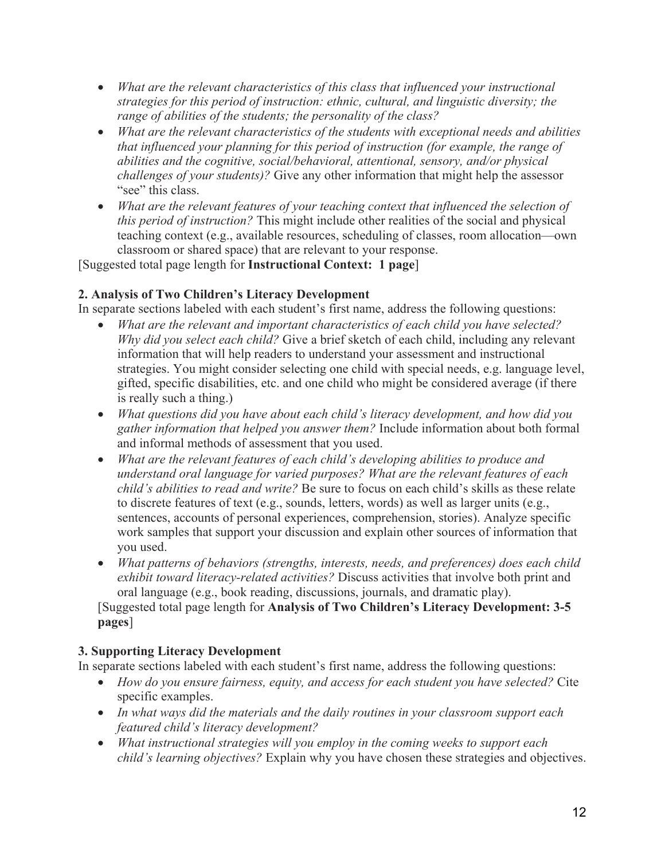- *What are the relevant characteristics of this class that influenced your instructional strategies for this period of instruction: ethnic, cultural, and linguistic diversity; the range of abilities of the students; the personality of the class?*
- *What are the relevant characteristics of the students with exceptional needs and abilities that influenced your planning for this period of instruction (for example, the range of abilities and the cognitive, social/behavioral, attentional, sensory, and/or physical challenges of your students)?* Give any other information that might help the assessor "see" this class.
- *What are the relevant features of your teaching context that influenced the selection of this period of instruction?* This might include other realities of the social and physical teaching context (e.g., available resources, scheduling of classes, room allocation—own classroom or shared space) that are relevant to your response.

[Suggested total page length for **Instructional Context: 1 page**]

## **2. Analysis of Two Children's Literacy Development**

In separate sections labeled with each student's first name, address the following questions:

- *What are the relevant and important characteristics of each child you have selected? Why did you select each child?* Give a brief sketch of each child, including any relevant information that will help readers to understand your assessment and instructional strategies. You might consider selecting one child with special needs, e.g. language level, gifted, specific disabilities, etc. and one child who might be considered average (if there is really such a thing.)
- *What questions did you have about each child's literacy development, and how did you gather information that helped you answer them?* Include information about both formal and informal methods of assessment that you used.
- *What are the relevant features of each child's developing abilities to produce and understand oral language for varied purposes? What are the relevant features of each child's abilities to read and write?* Be sure to focus on each child's skills as these relate to discrete features of text (e.g., sounds, letters, words) as well as larger units (e.g., sentences, accounts of personal experiences, comprehension, stories). Analyze specific work samples that support your discussion and explain other sources of information that you used.
- *What patterns of behaviors (strengths, interests, needs, and preferences) does each child exhibit toward literacy-related activities?* Discuss activities that involve both print and oral language (e.g., book reading, discussions, journals, and dramatic play).

[Suggested total page length for **Analysis of Two Children's Literacy Development: 3-5 pages**]

## **3. Supporting Literacy Development**

In separate sections labeled with each student's first name, address the following questions:

- *How do you ensure fairness, equity, and access for each student you have selected?* Cite specific examples.
- *In what ways did the materials and the daily routines in your classroom support each featured child's literacy development?*
- *What instructional strategies will you employ in the coming weeks to support each child's learning objectives?* Explain why you have chosen these strategies and objectives.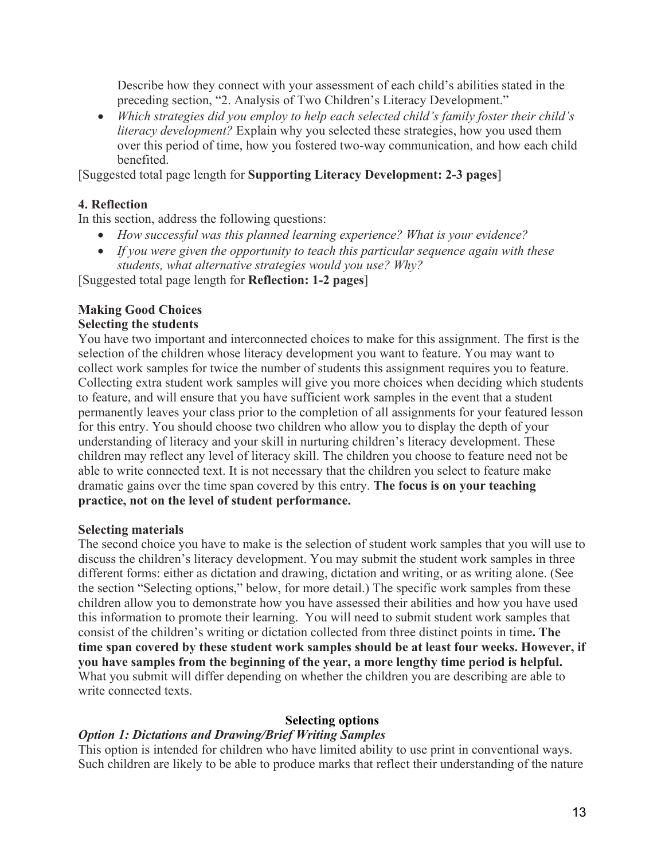Describe how they connect with your assessment of each child's abilities stated in the preceding section, "2. Analysis of Two Children's Literacy Development."

• *Which strategies did you employ to help each selected child's family foster their child's literacy development?* Explain why you selected these strategies, how you used them over this period of time, how you fostered two-way communication, and how each child benefited.

[Suggested total page length for **Supporting Literacy Development: 2-3 pages**]

## **4. Reflection**

In this section, address the following questions:

- *How successful was this planned learning experience? What is your evidence?*
- *If you were given the opportunity to teach this particular sequence again with these students, what alternative strategies would you use? Why?*

[Suggested total page length for **Reflection: 1-2 pages**]

## **Making Good Choices**

#### **Selecting the students**

You have two important and interconnected choices to make for this assignment. The first is the selection of the children whose literacy development you want to feature. You may want to collect work samples for twice the number of students this assignment requires you to feature. Collecting extra student work samples will give you more choices when deciding which students to feature, and will ensure that you have sufficient work samples in the event that a student permanently leaves your class prior to the completion of all assignments for your featured lesson for this entry. You should choose two children who allow you to display the depth of your understanding of literacy and your skill in nurturing children's literacy development. These children may reflect any level of literacy skill. The children you choose to feature need not be able to write connected text. It is not necessary that the children you select to feature make dramatic gains over the time span covered by this entry. **The focus is on your teaching practice, not on the level of student performance.** 

#### **Selecting materials**

The second choice you have to make is the selection of student work samples that you will use to discuss the children's literacy development. You may submit the student work samples in three different forms: either as dictation and drawing, dictation and writing, or as writing alone. (See the section "Selecting options," below, for more detail.) The specific work samples from these children allow you to demonstrate how you have assessed their abilities and how you have used this information to promote their learning. You will need to submit student work samples that consist of the children's writing or dictation collected from three distinct points in time**. The time span covered by these student work samples should be at least four weeks. However, if you have samples from the beginning of the year, a more lengthy time period is helpful.**  What you submit will differ depending on whether the children you are describing are able to write connected texts.

#### **Selecting options**

## *Option 1: Dictations and Drawing/Brief Writing Samples*

This option is intended for children who have limited ability to use print in conventional ways. Such children are likely to be able to produce marks that reflect their understanding of the nature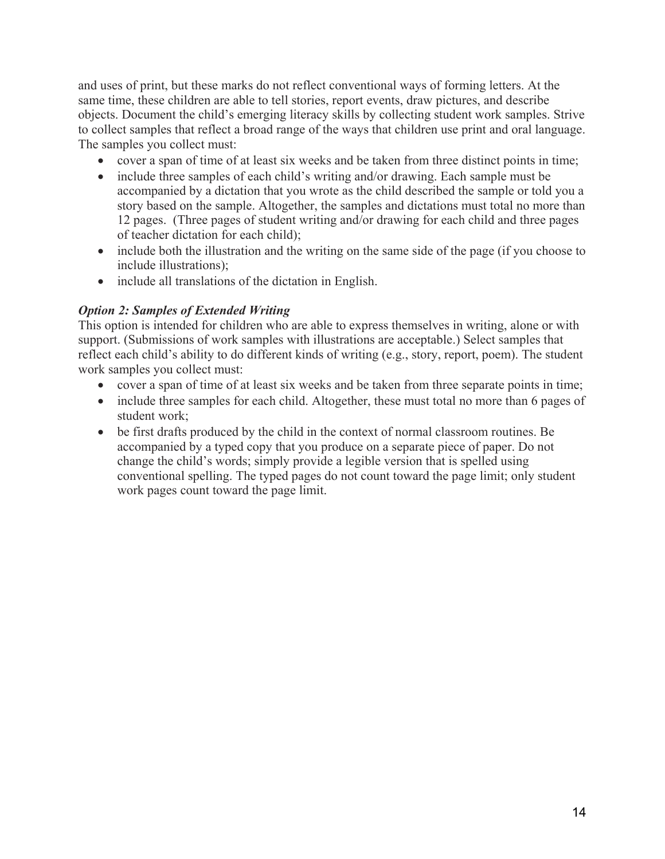and uses of print, but these marks do not reflect conventional ways of forming letters. At the same time, these children are able to tell stories, report events, draw pictures, and describe objects. Document the child's emerging literacy skills by collecting student work samples. Strive to collect samples that reflect a broad range of the ways that children use print and oral language. The samples you collect must:

- cover a span of time of at least six weeks and be taken from three distinct points in time;
- include three samples of each child's writing and/or drawing. Each sample must be accompanied by a dictation that you wrote as the child described the sample or told you a story based on the sample. Altogether, the samples and dictations must total no more than 12 pages. (Three pages of student writing and/or drawing for each child and three pages of teacher dictation for each child);
- include both the illustration and the writing on the same side of the page (if you choose to include illustrations);
- include all translations of the dictation in English.

## *Option 2: Samples of Extended Writing*

This option is intended for children who are able to express themselves in writing, alone or with support. (Submissions of work samples with illustrations are acceptable.) Select samples that reflect each child's ability to do different kinds of writing (e.g., story, report, poem). The student work samples you collect must:

- cover a span of time of at least six weeks and be taken from three separate points in time;
- include three samples for each child. Altogether, these must total no more than 6 pages of student work;
- be first drafts produced by the child in the context of normal classroom routines. Be accompanied by a typed copy that you produce on a separate piece of paper. Do not change the child's words; simply provide a legible version that is spelled using conventional spelling. The typed pages do not count toward the page limit; only student work pages count toward the page limit.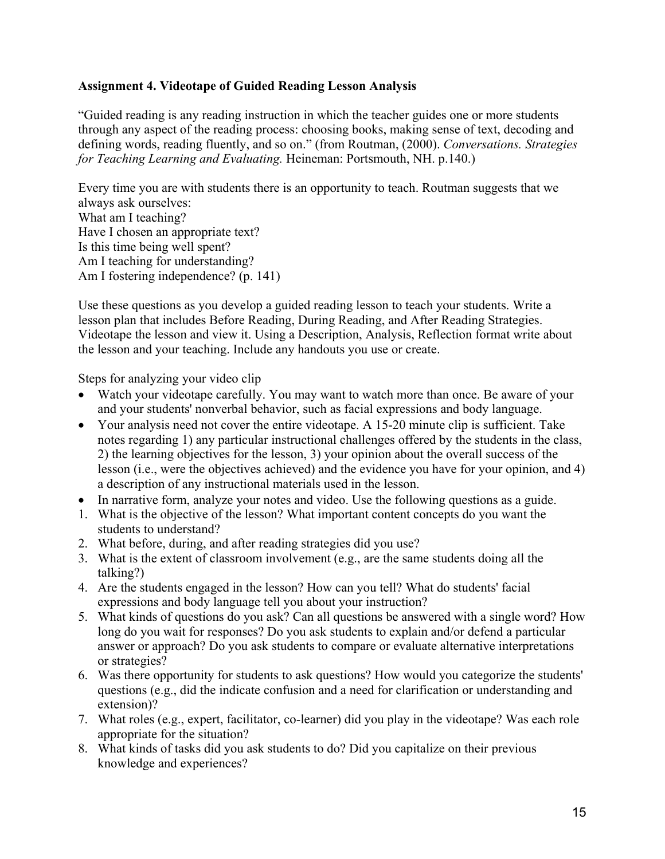### **Assignment 4. Videotape of Guided Reading Lesson Analysis**

"Guided reading is any reading instruction in which the teacher guides one or more students through any aspect of the reading process: choosing books, making sense of text, decoding and defining words, reading fluently, and so on." (from Routman, (2000). *Conversations. Strategies for Teaching Learning and Evaluating.* Heineman: Portsmouth, NH. p.140.)

Every time you are with students there is an opportunity to teach. Routman suggests that we always ask ourselves: What am I teaching? Have I chosen an appropriate text? Is this time being well spent? Am I teaching for understanding? Am I fostering independence? (p. 141)

Use these questions as you develop a guided reading lesson to teach your students. Write a lesson plan that includes Before Reading, During Reading, and After Reading Strategies. Videotape the lesson and view it. Using a Description, Analysis, Reflection format write about the lesson and your teaching. Include any handouts you use or create.

Steps for analyzing your video clip

- Watch your videotape carefully. You may want to watch more than once. Be aware of your and your students' nonverbal behavior, such as facial expressions and body language.
- Your analysis need not cover the entire videotape. A 15-20 minute clip is sufficient. Take notes regarding 1) any particular instructional challenges offered by the students in the class, 2) the learning objectives for the lesson, 3) your opinion about the overall success of the lesson (i.e., were the objectives achieved) and the evidence you have for your opinion, and 4) a description of any instructional materials used in the lesson.
- In narrative form, analyze your notes and video. Use the following questions as a guide.
- 1. What is the objective of the lesson? What important content concepts do you want the students to understand?
- 2. What before, during, and after reading strategies did you use?
- 3. What is the extent of classroom involvement (e.g., are the same students doing all the talking?)
- 4. Are the students engaged in the lesson? How can you tell? What do students' facial expressions and body language tell you about your instruction?
- 5. What kinds of questions do you ask? Can all questions be answered with a single word? How long do you wait for responses? Do you ask students to explain and/or defend a particular answer or approach? Do you ask students to compare or evaluate alternative interpretations or strategies?
- 6. Was there opportunity for students to ask questions? How would you categorize the students' questions (e.g., did the indicate confusion and a need for clarification or understanding and extension)?
- 7. What roles (e.g., expert, facilitator, co-learner) did you play in the videotape? Was each role appropriate for the situation?
- 8. What kinds of tasks did you ask students to do? Did you capitalize on their previous knowledge and experiences?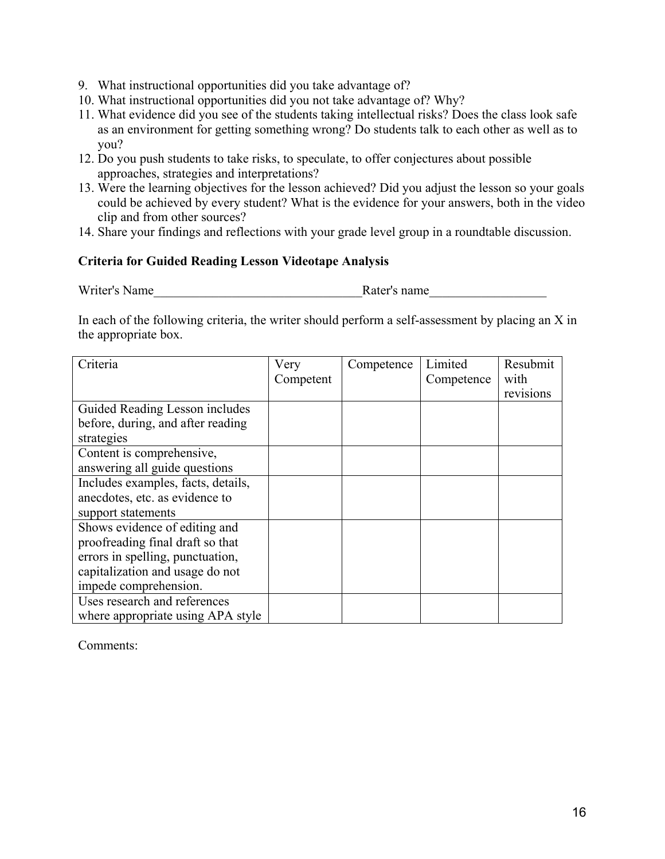- 9. What instructional opportunities did you take advantage of?
- 10. What instructional opportunities did you not take advantage of? Why?
- 11. What evidence did you see of the students taking intellectual risks? Does the class look safe as an environment for getting something wrong? Do students talk to each other as well as to you?
- 12. Do you push students to take risks, to speculate, to offer conjectures about possible approaches, strategies and interpretations?
- 13. Were the learning objectives for the lesson achieved? Did you adjust the lesson so your goals could be achieved by every student? What is the evidence for your answers, both in the video clip and from other sources?
- 14. Share your findings and reflections with your grade level group in a roundtable discussion.

#### **Criteria for Guided Reading Lesson Videotape Analysis**

Writer's Name **Name** Rater's name

In each of the following criteria, the writer should perform a self-assessment by placing an X in the appropriate box.

| Criteria                           | Very      | Competence | Limited    | Resubmit  |
|------------------------------------|-----------|------------|------------|-----------|
|                                    | Competent |            | Competence | with      |
|                                    |           |            |            | revisions |
| Guided Reading Lesson includes     |           |            |            |           |
| before, during, and after reading  |           |            |            |           |
| strategies                         |           |            |            |           |
| Content is comprehensive,          |           |            |            |           |
| answering all guide questions      |           |            |            |           |
| Includes examples, facts, details, |           |            |            |           |
| anecdotes, etc. as evidence to     |           |            |            |           |
| support statements                 |           |            |            |           |
| Shows evidence of editing and      |           |            |            |           |
| proofreading final draft so that   |           |            |            |           |
| errors in spelling, punctuation,   |           |            |            |           |
| capitalization and usage do not    |           |            |            |           |
| impede comprehension.              |           |            |            |           |
| Uses research and references       |           |            |            |           |
| where appropriate using APA style  |           |            |            |           |

Comments: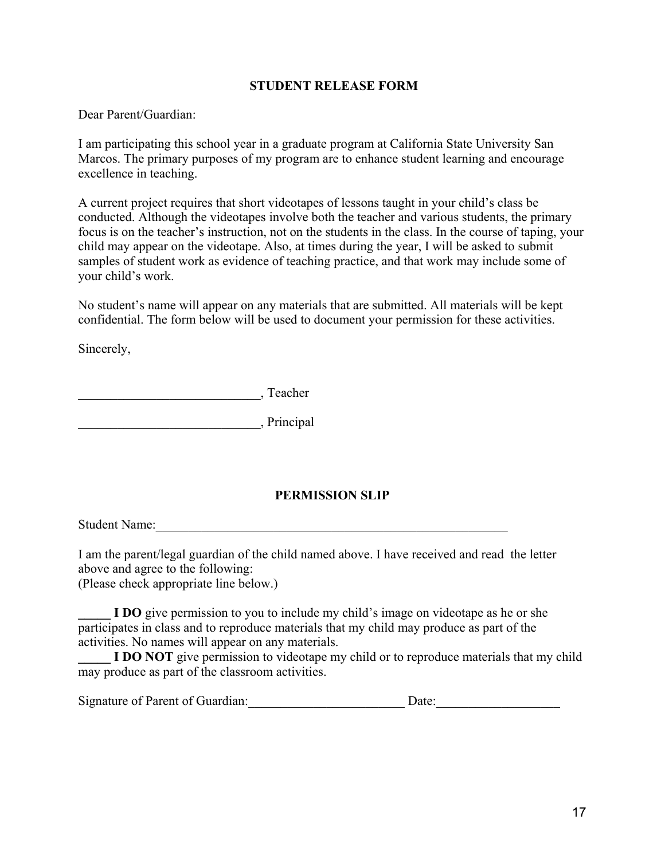#### **STUDENT RELEASE FORM**

Dear Parent/Guardian:

I am participating this school year in a graduate program at California State University San Marcos. The primary purposes of my program are to enhance student learning and encourage excellence in teaching.

A current project requires that short videotapes of lessons taught in your child's class be conducted. Although the videotapes involve both the teacher and various students, the primary focus is on the teacher's instruction, not on the students in the class. In the course of taping, your child may appear on the videotape. Also, at times during the year, I will be asked to submit samples of student work as evidence of teaching practice, and that work may include some of your child's work.

No student's name will appear on any materials that are submitted. All materials will be kept confidential. The form below will be used to document your permission for these activities.

Sincerely,

\_\_\_\_\_\_\_\_\_\_\_\_\_\_\_\_\_\_\_\_\_\_\_\_\_\_\_\_, Teacher

\_\_\_\_\_\_\_\_\_\_\_\_\_\_\_\_\_\_\_\_\_\_\_\_\_\_\_\_, Principal

## **PERMISSION SLIP**

Student Name:

I am the parent/legal guardian of the child named above. I have received and read the letter above and agree to the following:

(Please check appropriate line below.)

**I DO** give permission to you to include my child's image on videotape as he or she participates in class and to reproduce materials that my child may produce as part of the activities. No names will appear on any materials.

**I DO NOT** give permission to videotape my child or to reproduce materials that my child may produce as part of the classroom activities.

| Signature of Parent of Guardian:<br>Date: |
|-------------------------------------------|
|-------------------------------------------|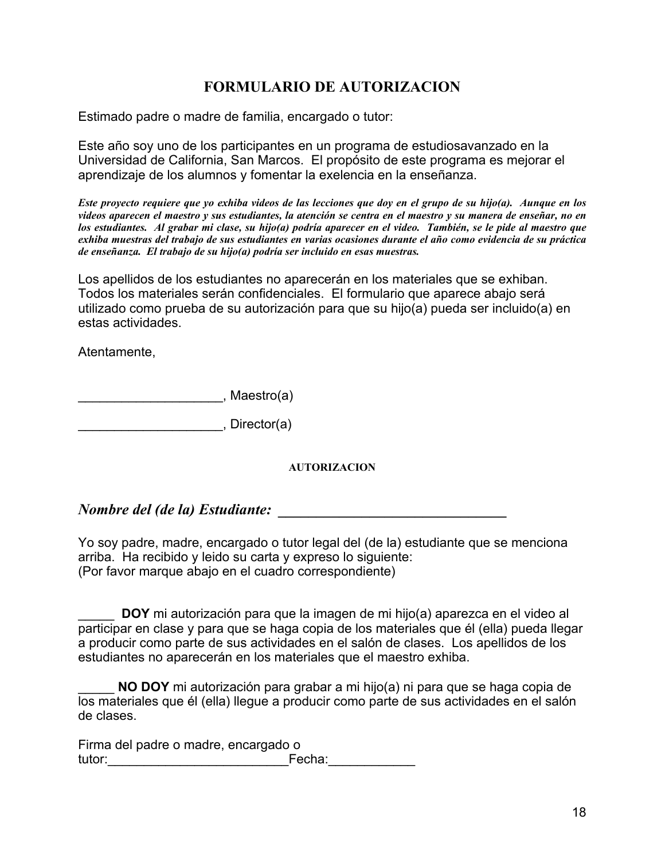# **FORMULARIO DE AUTORIZACION**

Estimado padre o madre de familia, encargado o tutor:

Este año soy uno de los participantes en un programa de estudiosavanzado en la Universidad de California, San Marcos. El propósito de este programa es mejorar el aprendizaje de los alumnos y fomentar la exelencia en la enseñanza.

*Este proyecto requiere que yo exhiba videos de las lecciones que doy en el grupo de su hijo(a). Aunque en los videos aparecen el maestro y sus estudiantes, la atención se centra en el maestro y su manera de enseñar, no en los estudiantes. Al grabar mi clase, su hijo(a) podría aparecer en el video. También, se le pide al maestro que exhiba muestras del trabajo de sus estudiantes en varias ocasiones durante el año como evidencia de su práctica de enseñanza. El trabajo de su hijo(a) podría ser incluido en esas muestras.* 

Los apellidos de los estudiantes no aparecerán en los materiales que se exhiban. Todos los materiales serán confidenciales. El formulario que aparece abajo será utilizado como prueba de su autorización para que su hijo(a) pueda ser incluido(a) en estas actividades.

Atentamente,

\_\_\_\_\_\_\_\_\_\_\_\_\_\_\_\_\_\_\_\_, Maestro(a)

\_\_\_\_\_\_\_\_\_\_\_\_\_\_\_\_\_\_\_\_, Director(a)

## **AUTORIZACION**

## *Nombre del (de la) Estudiante:*  $\blacksquare$

Yo soy padre, madre, encargado o tutor legal del (de la) estudiante que se menciona arriba. Ha recibido y leido su carta y expreso lo siguiente: (Por favor marque abajo en el cuadro correspondiente)

\_\_\_\_\_ **DOY** mi autorización para que la imagen de mi hijo(a) aparezca en el video al participar en clase y para que se haga copia de los materiales que él (ella) pueda llegar a producir como parte de sus actividades en el salón de clases. Los apellidos de los estudiantes no aparecerán en los materiales que el maestro exhiba.

\_\_\_\_\_ **NO DOY** mi autorización para grabar a mi hijo(a) ni para que se haga copia de los materiales que él (ella) llegue a producir como parte de sus actividades en el salón de clases.

| Firma del padre o madre, encargado o |        |
|--------------------------------------|--------|
| tutor:                               | Fecha: |